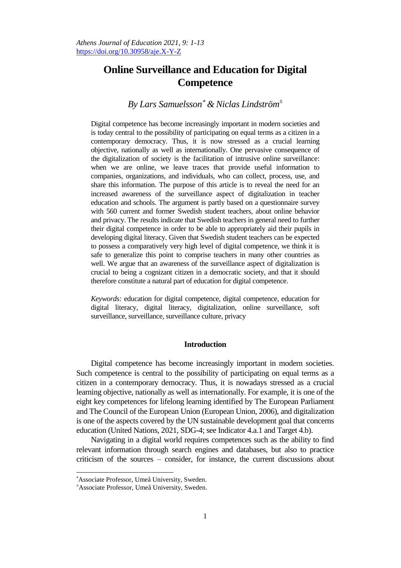# **Online Surveillance and Education for Digital Competence**

## *By Lars Samuelsson & Niclas Lindström<sup>±</sup>*

Digital competence has become increasingly important in modern societies and is today central to the possibility of participating on equal terms as a citizen in a contemporary democracy. Thus, it is now stressed as a crucial learning objective, nationally as well as internationally. One pervasive consequence of the digitalization of society is the facilitation of intrusive online surveillance: when we are online, we leave traces that provide useful information to companies, organizations, and individuals, who can collect, process, use, and share this information. The purpose of this article is to reveal the need for an increased awareness of the surveillance aspect of digitalization in teacher education and schools. The argument is partly based on a questionnaire survey with 560 current and former Swedish student teachers, about online behavior and privacy. The results indicate that Swedish teachers in general need to further their digital competence in order to be able to appropriately aid their pupils in developing digital literacy. Given that Swedish student teachers can be expected to possess a comparatively very high level of digital competence, we think it is safe to generalize this point to comprise teachers in many other countries as well. We argue that an awareness of the surveillance aspect of digitalization is crucial to being a cognizant citizen in a democratic society, and that it should therefore constitute a natural part of education for digital competence.

*Keywords:* education for digital competence, digital competence, education for digital literacy, digital literacy, digitalization, online surveillance, soft surveillance, surveillance, surveillance culture, privacy

## **Introduction**

Digital competence has become increasingly important in modern societies. Such competence is central to the possibility of participating on equal terms as a citizen in a contemporary democracy. Thus, it is nowadays stressed as a crucial learning objective, nationally as well as internationally. For example, it is one of the eight key competences for lifelong learning identified by The European Parliament and The Council of the European Union (European Union, 2006), and digitalization is one of the aspects covered by the UN sustainable development goal that concerns education (United Nations, 2021, SDG-4; see Indicator 4.a.1 and Target 4.b).

Navigating in a digital world requires competences such as the ability to find relevant information through search engines and databases, but also to practice criticism of the sources – consider, for instance, the current discussions about

 $\overline{a}$ 

Associate Professor, Umeå University, Sweden.

<sup>±</sup>Associate Professor, Umeå University, Sweden.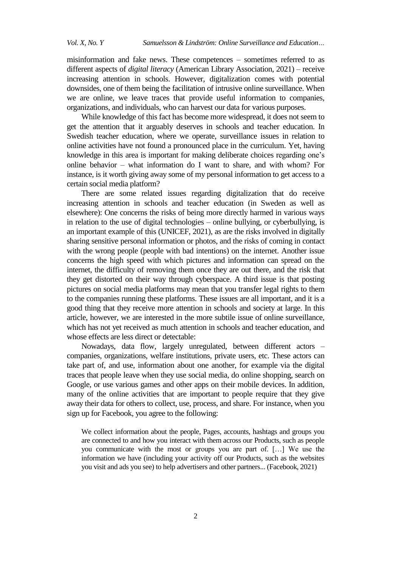misinformation and fake news. These competences – sometimes referred to as different aspects of *digital literacy* (American Library Association, 2021) – receive increasing attention in schools. However, digitalization comes with potential downsides, one of them being the facilitation of intrusive online surveillance. When we are online, we leave traces that provide useful information to companies, organizations, and individuals, who can harvest our data for various purposes.

While knowledge of this fact has become more widespread, it does not seem to get the attention that it arguably deserves in schools and teacher education. In Swedish teacher education, where we operate, surveillance issues in relation to online activities have not found a pronounced place in the curriculum. Yet, having knowledge in this area is important for making deliberate choices regarding one"s online behavior – what information do I want to share, and with whom? For instance, is it worth giving away some of my personal information to get access to a certain social media platform?

There are some related issues regarding digitalization that do receive increasing attention in schools and teacher education (in Sweden as well as elsewhere): One concerns the risks of being more directly harmed in various ways in relation to the use of digital technologies – online bullying, or cyberbullying, is an important example of this (UNICEF, 2021), as are the risks involved in digitally sharing sensitive personal information or photos, and the risks of coming in contact with the wrong people (people with bad intentions) on the internet. Another issue concerns the high speed with which pictures and information can spread on the internet, the difficulty of removing them once they are out there, and the risk that they get distorted on their way through cyberspace. A third issue is that posting pictures on social media platforms may mean that you transfer legal rights to them to the companies running these platforms. These issues are all important, and it is a good thing that they receive more attention in schools and society at large. In this article, however, we are interested in the more subtile issue of online surveillance, which has not yet received as much attention in schools and teacher education, and whose effects are less direct or detectable:

Nowadays, data flow, largely unregulated, between different actors – companies, organizations, welfare institutions, private users, etc. These actors can take part of, and use, information about one another, for example via the digital traces that people leave when they use social media, do online shopping, search on Google, or use various games and other apps on their mobile devices. In addition, many of the online activities that are important to people require that they give away their data for others to collect, use, process, and share. For instance, when you sign up for Facebook, you agree to the following:

We collect information about the people, Pages, accounts, hashtags and groups you are connected to and how you interact with them across our Products, such as people you communicate with the most or groups you are part of. […] We use the information we have (including your activity off our Products, such as the websites you visit and ads you see) to help advertisers and other partners... (Facebook, 2021)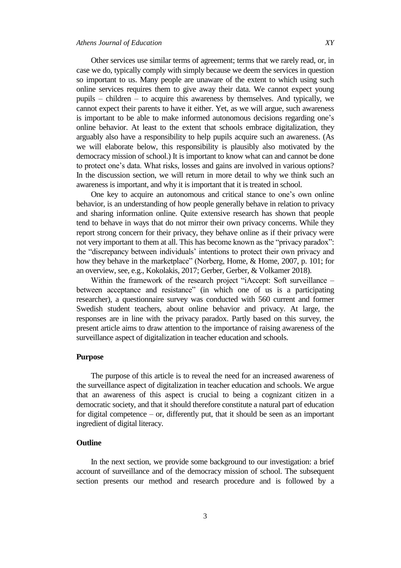Other services use similar terms of agreement; terms that we rarely read, or, in case we do, typically comply with simply because we deem the services in question so important to us. Many people are unaware of the extent to which using such online services requires them to give away their data. We cannot expect young pupils – children – to acquire this awareness by themselves. And typically, we cannot expect their parents to have it either. Yet, as we will argue, such awareness is important to be able to make informed autonomous decisions regarding one"s online behavior. At least to the extent that schools embrace digitalization, they arguably also have a responsibility to help pupils acquire such an awareness. (As we will elaborate below, this responsibility is plausibly also motivated by the democracy mission of school.) It is important to know what can and cannot be done to protect one's data. What risks, losses and gains are involved in various options? In the discussion section, we will return in more detail to why we think such an awareness is important, and why it is important that it is treated in school.

One key to acquire an autonomous and critical stance to one's own online behavior, is an understanding of how people generally behave in relation to privacy and sharing information online. Quite extensive research has shown that people tend to behave in ways that do not mirror their own privacy concerns. While they report strong concern for their privacy, they behave online as if their privacy were not very important to them at all. This has become known as the "privacy paradox": the "discrepancy between individuals" intentions to protect their own privacy and how they behave in the marketplace" (Norberg, Home, & Home, 2007, p. 101; for an overview, see, e.g., Kokolakis, 2017; Gerber, Gerber, & Volkamer 2018).

Within the framework of the research project "iAccept: Soft surveillance – between acceptance and resistance" (in which one of us is a participating researcher), a questionnaire survey was conducted with 560 current and former Swedish student teachers, about online behavior and privacy. At large, the responses are in line with the privacy paradox. Partly based on this survey, the present article aims to draw attention to the importance of raising awareness of the surveillance aspect of digitalization in teacher education and schools.

## **Purpose**

The purpose of this article is to reveal the need for an increased awareness of the surveillance aspect of digitalization in teacher education and schools. We argue that an awareness of this aspect is crucial to being a cognizant citizen in a democratic society, and that it should therefore constitute a natural part of education for digital competence – or, differently put, that it should be seen as an important ingredient of digital literacy.

## **Outline**

In the next section, we provide some background to our investigation: a brief account of surveillance and of the democracy mission of school. The subsequent section presents our method and research procedure and is followed by a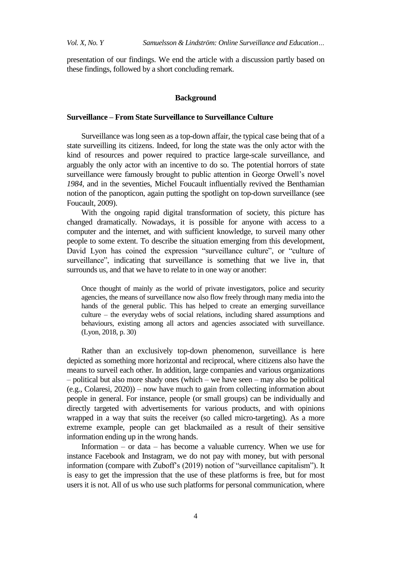presentation of our findings. We end the article with a discussion partly based on these findings, followed by a short concluding remark.

#### **Background**

## **Surveillance – From State Surveillance to Surveillance Culture**

Surveillance was long seen as a top-down affair, the typical case being that of a state surveilling its citizens. Indeed, for long the state was the only actor with the kind of resources and power required to practice large-scale surveillance, and arguably the only actor with an incentive to do so. The potential horrors of state surveillance were famously brought to public attention in George Orwell"s novel *1984*, and in the seventies, Michel Foucault influentially revived the Benthamian notion of the panopticon, again putting the spotlight on top-down surveillance (see Foucault, 2009).

With the ongoing rapid digital transformation of society, this picture has changed dramatically. Nowadays, it is possible for anyone with access to a computer and the internet, and with sufficient knowledge, to surveil many other people to some extent. To describe the situation emerging from this development, David Lyon has coined the expression "surveillance culture", or "culture of surveillance", indicating that surveillance is something that we live in, that surrounds us, and that we have to relate to in one way or another:

Once thought of mainly as the world of private investigators, police and security agencies, the means of surveillance now also flow freely through many media into the hands of the general public. This has helped to create an emerging surveillance culture – the everyday webs of social relations, including shared assumptions and behaviours, existing among all actors and agencies associated with surveillance. (Lyon, 2018, p. 30)

Rather than an exclusively top-down phenomenon, surveillance is here depicted as something more horizontal and reciprocal, where citizens also have the means to surveil each other. In addition, large companies and various organizations – political but also more shady ones (which – we have seen – may also be political (e.g., Colaresi, 2020)) – now have much to gain from collecting information about people in general. For instance, people (or small groups) can be individually and directly targeted with advertisements for various products, and with opinions wrapped in a way that suits the receiver (so called micro-targeting). As a more extreme example, people can get blackmailed as a result of their sensitive information ending up in the wrong hands.

Information – or data – has become a valuable currency. When we use for instance Facebook and Instagram, we do not pay with money, but with personal information (compare with Zuboff"s (2019) notion of "surveillance capitalism"). It is easy to get the impression that the use of these platforms is free, but for most users it is not. All of us who use such platforms for personal communication, where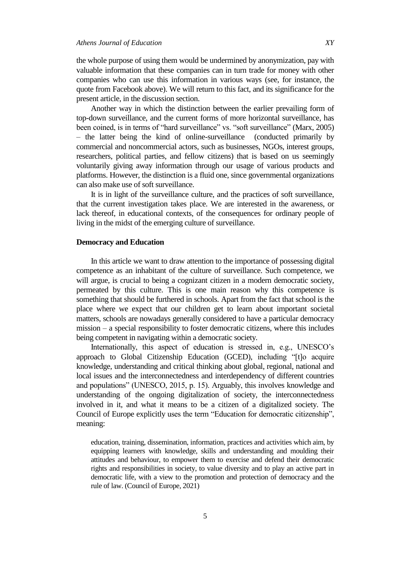the whole purpose of using them would be undermined by anonymization, pay with valuable information that these companies can in turn trade for money with other companies who can use this information in various ways (see, for instance, the quote from Facebook above). We will return to this fact, and its significance for the present article, in the discussion section.

Another way in which the distinction between the earlier prevailing form of top-down surveillance, and the current forms of more horizontal surveillance, has been coined, is in terms of "hard surveillance" vs. "soft surveillance" (Marx, 2005) – the latter being the kind of online-surveillance (conducted primarily by commercial and noncommercial actors, such as businesses, NGOs, interest groups, researchers, political parties, and fellow citizens) that is based on us seemingly voluntarily giving away information through our usage of various products and platforms. However, the distinction is a fluid one, since governmental organizations can also make use of soft surveillance.

It is in light of the surveillance culture, and the practices of soft surveillance, that the current investigation takes place. We are interested in the awareness, or lack thereof, in educational contexts, of the consequences for ordinary people of living in the midst of the emerging culture of surveillance.

#### **Democracy and Education**

In this article we want to draw attention to the importance of possessing digital competence as an inhabitant of the culture of surveillance. Such competence, we will argue, is crucial to being a cognizant citizen in a modern democratic society, permeated by this culture. This is one main reason why this competence is something that should be furthered in schools. Apart from the fact that school is the place where we expect that our children get to learn about important societal matters, schools are nowadays generally considered to have a particular democracy mission – a special responsibility to foster democratic citizens, where this includes being competent in navigating within a democratic society.

Internationally, this aspect of education is stressed in, e.g., UNESCO"s approach to Global Citizenship Education (GCED), including "[t]o acquire knowledge, understanding and critical thinking about global, regional, national and local issues and the interconnectedness and interdependency of different countries and populations" (UNESCO, 2015, p. 15). Arguably, this involves knowledge and understanding of the ongoing digitalization of society, the interconnectedness involved in it, and what it means to be a citizen of a digitalized society. The Council of Europe explicitly uses the term "Education for democratic citizenship", meaning:

education, training, dissemination, information, practices and activities which aim, by equipping learners with knowledge, skills and understanding and moulding their attitudes and behaviour, to empower them to exercise and defend their democratic rights and responsibilities in society, to value diversity and to play an active part in democratic life, with a view to the promotion and protection of democracy and the rule of law. (Council of Europe, 2021)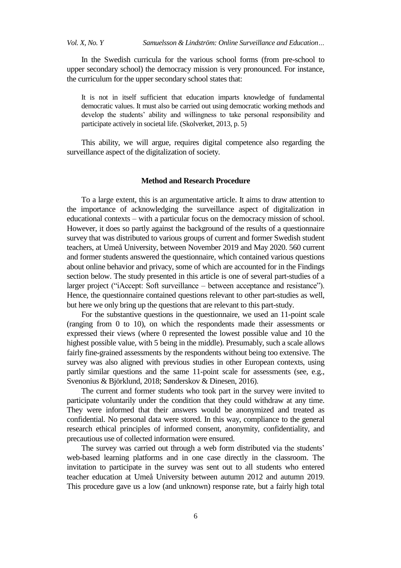In the Swedish curricula for the various school forms (from pre-school to upper secondary school) the democracy mission is very pronounced. For instance, the curriculum for the upper secondary school states that:

It is not in itself sufficient that education imparts knowledge of fundamental democratic values. It must also be carried out using democratic working methods and develop the students" ability and willingness to take personal responsibility and participate actively in societal life. (Skolverket, 2013, p. 5)

This ability, we will argue, requires digital competence also regarding the surveillance aspect of the digitalization of society.

#### **Method and Research Procedure**

To a large extent, this is an argumentative article. It aims to draw attention to the importance of acknowledging the surveillance aspect of digitalization in educational contexts – with a particular focus on the democracy mission of school. However, it does so partly against the background of the results of a questionnaire survey that was distributed to various groups of current and former Swedish student teachers, at Umeå University, between November 2019 and May 2020. 560 current and former students answered the questionnaire, which contained various questions about online behavior and privacy, some of which are accounted for in the Findings section below. The study presented in this article is one of several part-studies of a larger project ("iAccept: Soft surveillance – between acceptance and resistance"). Hence, the questionnaire contained questions relevant to other part-studies as well, but here we only bring up the questions that are relevant to this part-study.

For the substantive questions in the questionnaire, we used an 11-point scale (ranging from 0 to 10), on which the respondents made their assessments or expressed their views (where 0 represented the lowest possible value and 10 the highest possible value, with 5 being in the middle). Presumably, such a scale allows fairly fine-grained assessments by the respondents without being too extensive. The survey was also aligned with previous studies in other European contexts, using partly similar questions and the same 11-point scale for assessments (see, e.g., Svenonius & Björklund, 2018; Sønderskov & Dinesen, 2016).

The current and former students who took part in the survey were invited to participate voluntarily under the condition that they could withdraw at any time. They were informed that their answers would be anonymized and treated as confidential. No personal data were stored. In this way, compliance to the general research ethical principles of informed consent, anonymity, confidentiality, and precautious use of collected information were ensured.

The survey was carried out through a web form distributed via the students' web-based learning platforms and in one case directly in the classroom. The invitation to participate in the survey was sent out to all students who entered teacher education at Umeå University between autumn 2012 and autumn 2019. This procedure gave us a low (and unknown) response rate, but a fairly high total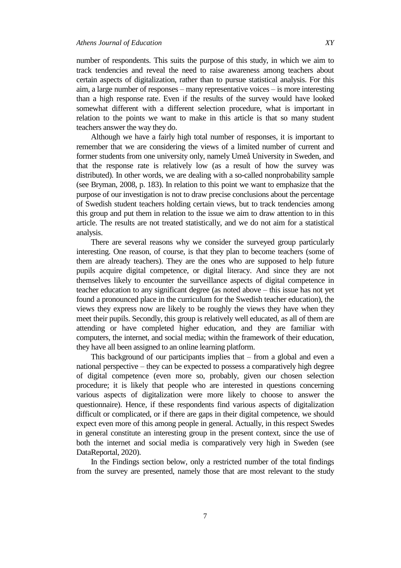number of respondents. This suits the purpose of this study, in which we aim to track tendencies and reveal the need to raise awareness among teachers about certain aspects of digitalization, rather than to pursue statistical analysis. For this aim, a large number of responses – many representative voices – is more interesting than a high response rate. Even if the results of the survey would have looked somewhat different with a different selection procedure, what is important in relation to the points we want to make in this article is that so many student teachers answer the way they do.

Although we have a fairly high total number of responses, it is important to remember that we are considering the views of a limited number of current and former students from one university only, namely Umeå University in Sweden, and that the response rate is relatively low (as a result of how the survey was distributed). In other words, we are dealing with a so-called nonprobability sample (see Bryman, 2008, p. 183). In relation to this point we want to emphasize that the purpose of our investigation is not to draw precise conclusions about the percentage of Swedish student teachers holding certain views, but to track tendencies among this group and put them in relation to the issue we aim to draw attention to in this article. The results are not treated statistically, and we do not aim for a statistical analysis.

There are several reasons why we consider the surveyed group particularly interesting. One reason, of course, is that they plan to become teachers (some of them are already teachers). They are the ones who are supposed to help future pupils acquire digital competence, or digital literacy. And since they are not themselves likely to encounter the surveillance aspects of digital competence in teacher education to any significant degree (as noted above – this issue has not yet found a pronounced place in the curriculum for the Swedish teacher education), the views they express now are likely to be roughly the views they have when they meet their pupils. Secondly, this group is relatively well educated, as all of them are attending or have completed higher education, and they are familiar with computers, the internet, and social media; within the framework of their education, they have all been assigned to an online learning platform.

This background of our participants implies that – from a global and even a national perspective – they can be expected to possess a comparatively high degree of digital competence (even more so, probably, given our chosen selection procedure; it is likely that people who are interested in questions concerning various aspects of digitalization were more likely to choose to answer the questionnaire). Hence, if these respondents find various aspects of digitalization difficult or complicated, or if there are gaps in their digital competence, we should expect even more of this among people in general. Actually, in this respect Swedes in general constitute an interesting group in the present context, since the use of both the internet and social media is comparatively very high in Sweden (see DataReportal, 2020).

In the Findings section below, only a restricted number of the total findings from the survey are presented, namely those that are most relevant to the study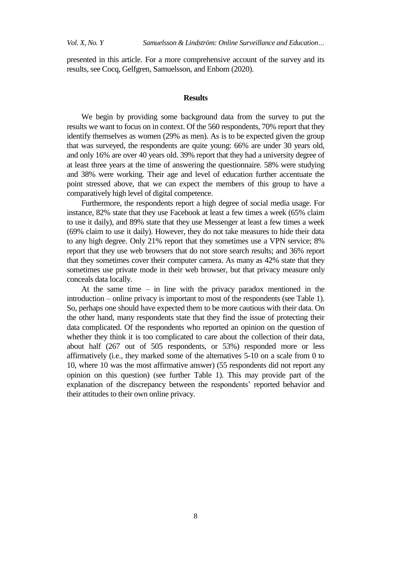presented in this article. For a more comprehensive account of the survey and its results, see Cocq, Gelfgren, Samuelsson, and Enbom (2020).

#### **Results**

We begin by providing some background data from the survey to put the results we want to focus on in context. Of the 560 respondents, 70% report that they identify themselves as women (29% as men). As is to be expected given the group that was surveyed, the respondents are quite young: 66% are under 30 years old, and only 16% are over 40 years old. 39% report that they had a university degree of at least three years at the time of answering the questionnaire. 58% were studying and 38% were working. Their age and level of education further accentuate the point stressed above, that we can expect the members of this group to have a comparatively high level of digital competence.

Furthermore, the respondents report a high degree of social media usage. For instance, 82% state that they use Facebook at least a few times a week (65% claim to use it daily), and 89% state that they use Messenger at least a few times a week (69% claim to use it daily). However, they do not take measures to hide their data to any high degree. Only 21% report that they sometimes use a VPN service; 8% report that they use web browsers that do not store search results; and 36% report that they sometimes cover their computer camera. As many as 42% state that they sometimes use private mode in their web browser, but that privacy measure only conceals data locally.

At the same time – in line with the privacy paradox mentioned in the introduction – online privacy is important to most of the respondents (see Table 1). So, perhaps one should have expected them to be more cautious with their data. On the other hand, many respondents state that they find the issue of protecting their data complicated. Of the respondents who reported an opinion on the question of whether they think it is too complicated to care about the collection of their data, about half (267 out of 505 respondents, or 53%) responded more or less affirmatively (i.e., they marked some of the alternatives 5-10 on a scale from 0 to 10, where 10 was the most affirmative answer) (55 respondents did not report any opinion on this question) (see further Table 1). This may provide part of the explanation of the discrepancy between the respondents' reported behavior and their attitudes to their own online privacy.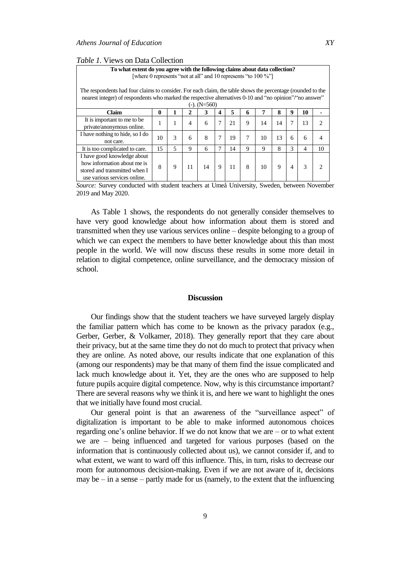| <i>Table 1.</i> Views on Data Collection |  |
|------------------------------------------|--|
|------------------------------------------|--|

| To what extent do you agree with the following claims about data collection?<br>[where 0 represents "not at all" and 10 represents "to 100 %"]                                                                                              |    |   |                |    |   |    |   |    |    |   |                          |                             |
|---------------------------------------------------------------------------------------------------------------------------------------------------------------------------------------------------------------------------------------------|----|---|----------------|----|---|----|---|----|----|---|--------------------------|-----------------------------|
| The respondents had four claims to consider. For each claim, the table shows the percentage (rounded to the<br>nearest integer) of respondents who marked the respective alternatives 0-10 and "no opinion"/" no answer"<br>$(-)$ . (N=560) |    |   |                |    |   |    |   |    |    |   |                          |                             |
| Claim                                                                                                                                                                                                                                       | 0  |   | $\mathbf{2}$   | 3  | 4 | 5  | 6 | 7  | 8  | 9 | 10                       |                             |
| It is important to me to be<br>private/anonymous online.                                                                                                                                                                                    | 1  | 1 | $\overline{4}$ | 6  | 7 | 21 | 9 | 14 | 14 | 7 | 13                       | $\mathcal{D}_{\mathcal{A}}$ |
| I have nothing to hide, so I do<br>not care.                                                                                                                                                                                                | 10 | 3 | 6              | 8  | 7 | 19 | 7 | 10 | 13 | 6 | 6                        | 4                           |
| It is too complicated to care.                                                                                                                                                                                                              | 15 | 5 | 9              | 6  | 7 | 14 | 9 | 9  | 8  | 3 | $\overline{\mathcal{A}}$ | 10                          |
| I have good knowledge about<br>how information about me is<br>stored and transmitted when I<br>use various services online.                                                                                                                 | 8  | 9 | 11             | 14 | 9 | 11 | 8 | 10 | 9  | 4 | 3                        | 2                           |

*Source:* Survey conducted with student teachers at Umeå University, Sweden, between November 2019 and May 2020.

As Table 1 shows, the respondents do not generally consider themselves to have very good knowledge about how information about them is stored and transmitted when they use various services online – despite belonging to a group of which we can expect the members to have better knowledge about this than most people in the world. We will now discuss these results in some more detail in relation to digital competence, online surveillance, and the democracy mission of school.

#### **Discussion**

Our findings show that the student teachers we have surveyed largely display the familiar pattern which has come to be known as the privacy paradox (e.g., Gerber, Gerber, & Volkamer, 2018). They generally report that they care about their privacy, but at the same time they do not do much to protect that privacy when they are online. As noted above, our results indicate that one explanation of this (among our respondents) may be that many of them find the issue complicated and lack much knowledge about it. Yet, they are the ones who are supposed to help future pupils acquire digital competence. Now, why is this circumstance important? There are several reasons why we think it is, and here we want to highlight the ones that we initially have found most crucial.

Our general point is that an awareness of the "surveillance aspect" of digitalization is important to be able to make informed autonomous choices regarding one's online behavior. If we do not know that we are  $-$  or to what extent we are – being influenced and targeted for various purposes (based on the information that is continuously collected about us), we cannot consider if, and to what extent, we want to ward off this influence. This, in turn, risks to decrease our room for autonomous decision-making. Even if we are not aware of it, decisions may be – in a sense – partly made for us (namely, to the extent that the influencing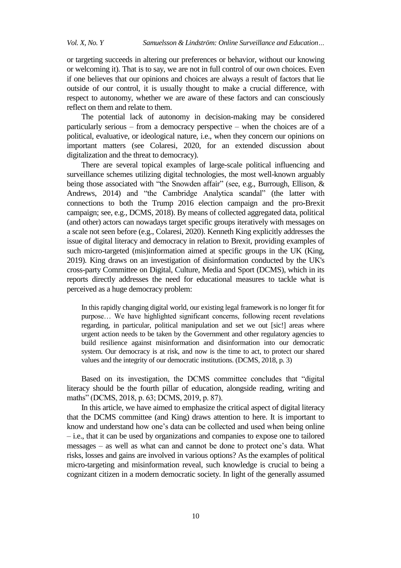or targeting succeeds in altering our preferences or behavior, without our knowing or welcoming it). That is to say, we are not in full control of our own choices. Even if one believes that our opinions and choices are always a result of factors that lie outside of our control, it is usually thought to make a crucial difference, with respect to autonomy, whether we are aware of these factors and can consciously reflect on them and relate to them.

The potential lack of autonomy in decision-making may be considered particularly serious – from a democracy perspective – when the choices are of a political, evaluative, or ideological nature, i.e., when they concern our opinions on important matters (see Colaresi, 2020, for an extended discussion about digitalization and the threat to democracy).

There are several topical examples of large-scale political influencing and surveillance schemes utilizing digital technologies, the most well-known arguably being those associated with "the Snowden affair" (see, e.g., Burrough, Ellison, & Andrews, 2014) and "the Cambridge Analytica scandal" (the latter with connections to both the Trump 2016 election campaign and the pro-Brexit campaign; see, e.g., DCMS, 2018). By means of collected aggregated data, political (and other) actors can nowadays target specific groups iteratively with messages on a scale not seen before (e.g., Colaresi, 2020). Kenneth King explicitly addresses the issue of digital literacy and democracy in relation to Brexit, providing examples of such micro-targeted (mis)information aimed at specific groups in the UK (King, 2019). King draws on an investigation of disinformation conducted by the UK's cross-party Committee on Digital, Culture, Media and Sport (DCMS), which in its reports directly addresses the need for educational measures to tackle what is perceived as a huge democracy problem:

In this rapidly changing digital world, our existing legal framework is no longer fit for purpose… We have highlighted significant concerns, following recent revelations regarding, in particular, political manipulation and set we out [sic!] areas where urgent action needs to be taken by the Government and other regulatory agencies to build resilience against misinformation and disinformation into our democratic system. Our democracy is at risk, and now is the time to act, to protect our shared values and the integrity of our democratic institutions. (DCMS, 2018, p. 3)

Based on its investigation, the DCMS committee concludes that "digital literacy should be the fourth pillar of education, alongside reading, writing and maths" (DCMS, 2018, p. 63; DCMS, 2019, p. 87).

In this article, we have aimed to emphasize the critical aspect of digital literacy that the DCMS committee (and King) draws attention to here. It is important to know and understand how one"s data can be collected and used when being online – i.e., that it can be used by organizations and companies to expose one to tailored messages – as well as what can and cannot be done to protect one"s data. What risks, losses and gains are involved in various options? As the examples of political micro-targeting and misinformation reveal, such knowledge is crucial to being a cognizant citizen in a modern democratic society. In light of the generally assumed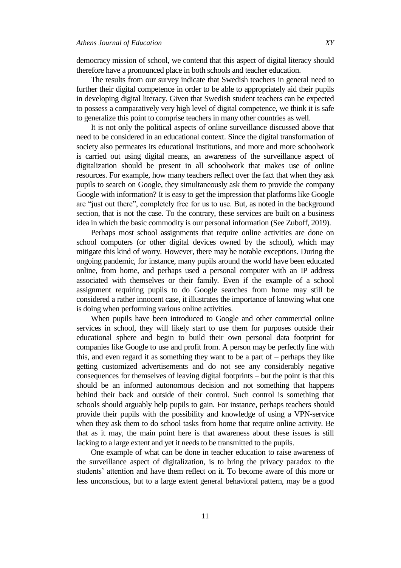democracy mission of school, we contend that this aspect of digital literacy should therefore have a pronounced place in both schools and teacher education.

The results from our survey indicate that Swedish teachers in general need to further their digital competence in order to be able to appropriately aid their pupils in developing digital literacy. Given that Swedish student teachers can be expected to possess a comparatively very high level of digital competence, we think it is safe to generalize this point to comprise teachers in many other countries as well.

It is not only the political aspects of online surveillance discussed above that need to be considered in an educational context. Since the digital transformation of society also permeates its educational institutions, and more and more schoolwork is carried out using digital means, an awareness of the surveillance aspect of digitalization should be present in all schoolwork that makes use of online resources. For example, how many teachers reflect over the fact that when they ask pupils to search on Google, they simultaneously ask them to provide the company Google with information? It is easy to get the impression that platforms like Google are "just out there", completely free for us to use. But, as noted in the background section, that is not the case. To the contrary, these services are built on a business idea in which the basic commodity is our personal information (See Zuboff, 2019).

Perhaps most school assignments that require online activities are done on school computers (or other digital devices owned by the school), which may mitigate this kind of worry. However, there may be notable exceptions. During the ongoing pandemic, for instance, many pupils around the world have been educated online, from home, and perhaps used a personal computer with an IP address associated with themselves or their family. Even if the example of a school assignment requiring pupils to do Google searches from home may still be considered a rather innocent case, it illustrates the importance of knowing what one is doing when performing various online activities.

When pupils have been introduced to Google and other commercial online services in school, they will likely start to use them for purposes outside their educational sphere and begin to build their own personal data footprint for companies like Google to use and profit from. A person may be perfectly fine with this, and even regard it as something they want to be a part of – perhaps they like getting customized advertisements and do not see any considerably negative consequences for themselves of leaving digital footprints – but the point is that this should be an informed autonomous decision and not something that happens behind their back and outside of their control. Such control is something that schools should arguably help pupils to gain. For instance, perhaps teachers should provide their pupils with the possibility and knowledge of using a VPN-service when they ask them to do school tasks from home that require online activity. Be that as it may, the main point here is that awareness about these issues is still lacking to a large extent and yet it needs to be transmitted to the pupils.

One example of what can be done in teacher education to raise awareness of the surveillance aspect of digitalization, is to bring the privacy paradox to the students" attention and have them reflect on it. To become aware of this more or less unconscious, but to a large extent general behavioral pattern, may be a good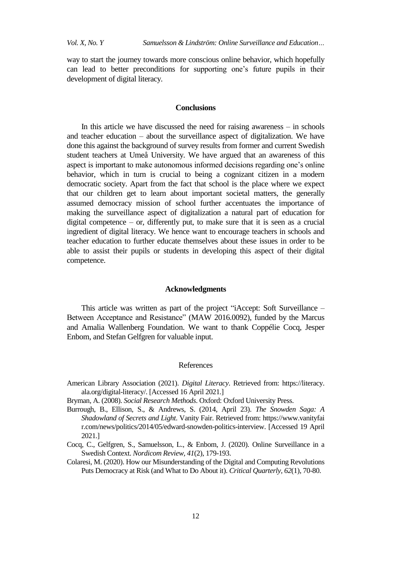way to start the journey towards more conscious online behavior, which hopefully can lead to better preconditions for supporting one"s future pupils in their development of digital literacy.

#### **Conclusions**

In this article we have discussed the need for raising awareness – in schools and teacher education – about the surveillance aspect of digitalization. We have done this against the background of survey results from former and current Swedish student teachers at Umeå University. We have argued that an awareness of this aspect is important to make autonomous informed decisions regarding one"s online behavior, which in turn is crucial to being a cognizant citizen in a modern democratic society. Apart from the fact that school is the place where we expect that our children get to learn about important societal matters, the generally assumed democracy mission of school further accentuates the importance of making the surveillance aspect of digitalization a natural part of education for digital competence  $-$  or, differently put, to make sure that it is seen as a crucial ingredient of digital literacy. We hence want to encourage teachers in schools and teacher education to further educate themselves about these issues in order to be able to assist their pupils or students in developing this aspect of their digital competence.

#### **Acknowledgments**

This article was written as part of the project "iAccept: Soft Surveillance – Between Acceptance and Resistance" (MAW 2016.0092), funded by the Marcus and Amalia Wallenberg Foundation. We want to thank Coppélie Cocq, Jesper Enbom, and Stefan Gelfgren for valuable input.

## References

- American Library Association (2021). *Digital Literacy*. Retrieved from: https://literacy. ala.org/digital-literacy/. [Accessed 16 April 2021.]
- Bryman, A. (2008). *Social Research Methods*. Oxford: Oxford University Press.
- Burrough, B., Ellison, S., & Andrews, S. (2014, April 23). *The Snowden Saga: A Shadowland of Secrets and Light*. Vanity Fair. Retrieved from: https://www.vanityfai r.com/news/politics/2014/05/edward-snowden-politics-interview. [Accessed 19 April 2021.]
- Cocq, C., Gelfgren, S., Samuelsson, L., & Enbom, J. (2020). Online Surveillance in a Swedish Context. *Nordicom Review, 41*(2), 179-193.
- Colaresi, M. (2020). How our Misunderstanding of the Digital and Computing Revolutions Puts Democracy at Risk (and What to Do About it). *Critical Quarterly, 62*(1), 70-80.